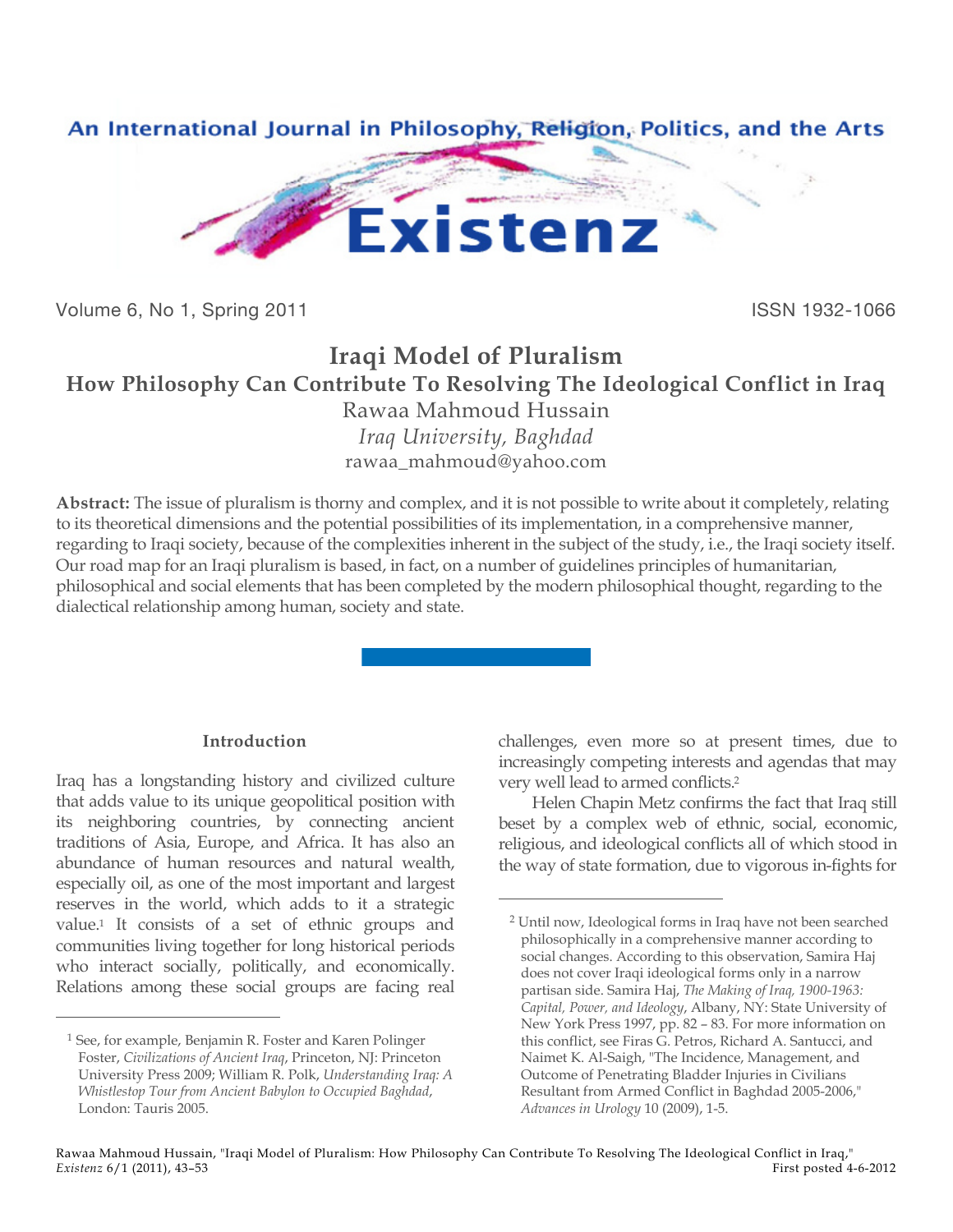

Volume 6, No 1, Spring 2011 **ISSN 1932-1066** 

# **Iraqi Model of Pluralism How Philosophy Can Contribute To Resolving The Ideological Conflict in Iraq** Rawaa Mahmoud Hussain

*Iraq University, Baghdad* rawaa\_mahmoud@yahoo.com

**Abstract:** The issue of pluralism is thorny and complex, and it is not possible to write about it completely, relating to its theoretical dimensions and the potential possibilities of its implementation, in a comprehensive manner, regarding to Iraqi society, because of the complexities inherent in the subject of the study, i.e., the Iraqi society itself. Our road map for an Iraqi pluralism is based, in fact, on a number of guidelines principles of humanitarian, philosophical and social elements that has been completed by the modern philosophical thought, regarding to the dialectical relationship among human, society and state.

## **Introduction**

Iraq has a longstanding history and civilized culture that adds value to its unique geopolitical position with its neighboring countries, by connecting ancient traditions of Asia, Europe, and Africa. It has also an abundance of human resources and natural wealth, especially oil, as one of the most important and largest reserves in the world, which adds to it a strategic value.1 It consists of a set of ethnic groups and communities living together for long historical periods who interact socially, politically, and economically. Relations among these social groups are facing real

 $\overline{a}$ 

challenges, even more so at present times, due to increasingly competing interests and agendas that may very well lead to armed conflicts.2

Helen Chapin Metz confirms the fact that Iraq still beset by a complex web of ethnic, social, economic, religious, and ideological conflicts all of which stood in the way of state formation, due to vigorous in-fights for

<sup>1</sup> See, for example, Benjamin R. Foster and Karen Polinger Foster, *Civilizations of Ancient Iraq*, Princeton, NJ: Princeton University Press 2009; William R. Polk, *Understanding Iraq: A Whistlestop Tour from Ancient Babylon to Occupied Baghdad*, London: Tauris 2005.

<sup>2</sup> Until now, Ideological forms in Iraq have not been searched philosophically in a comprehensive manner according to social changes. According to this observation, Samira Haj does not cover Iraqi ideological forms only in a narrow partisan side. Samira Haj, *The Making of Iraq, 1900-1963: Capital, Power, and Ideology*, Albany, NY: State University of New York Press 1997, pp. 82 – 83. For more information on this conflict, see Firas G. Petros, Richard A. Santucci, and Naimet K. Al-Saigh, "The Incidence, Management, and Outcome of Penetrating Bladder Injuries in Civilians Resultant from Armed Conflict in Baghdad 2005-2006," *Advances in Urology* 10 (2009), 1-5.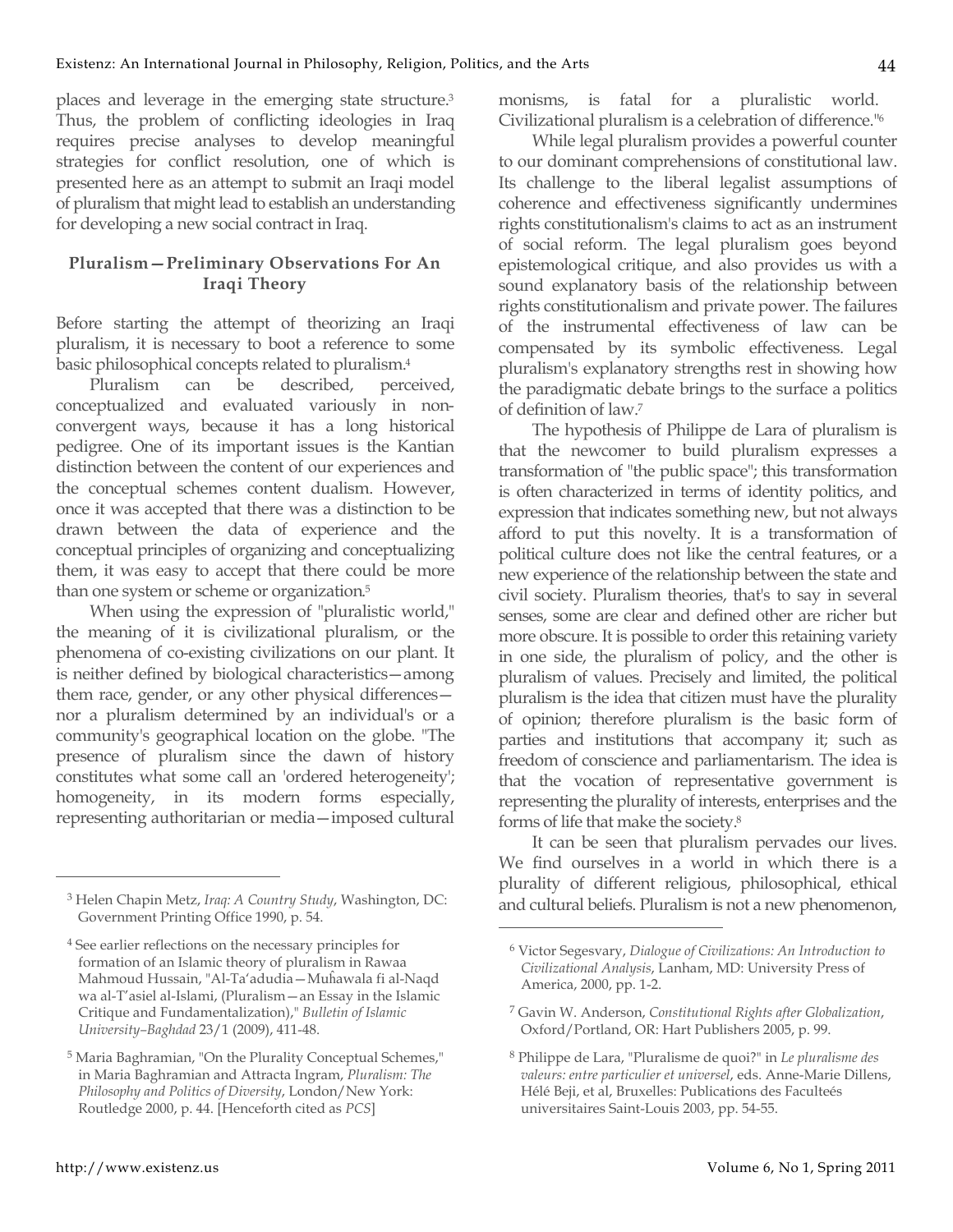places and leverage in the emerging state structure.3 Thus, the problem of conflicting ideologies in Iraq requires precise analyses to develop meaningful strategies for conflict resolution, one of which is presented here as an attempt to submit an Iraqi model of pluralism that might lead to establish an understanding for developing a new social contract in Iraq.

### **Pluralism—Preliminary Observations For An Iraqi Theory**

Before starting the attempt of theorizing an Iraqi pluralism, it is necessary to boot a reference to some basic philosophical concepts related to pluralism.4

Pluralism can be described, perceived, conceptualized and evaluated variously in nonconvergent ways, because it has a long historical pedigree. One of its important issues is the Kantian distinction between the content of our experiences and the conceptual schemes content dualism. However, once it was accepted that there was a distinction to be drawn between the data of experience and the conceptual principles of organizing and conceptualizing them, it was easy to accept that there could be more than one system or scheme or organization. 5

When using the expression of "pluralistic world," the meaning of it is civilizational pluralism, or the phenomena of co-existing civilizations on our plant. It is neither defined by biological characteristics—among them race, gender, or any other physical differences nor a pluralism determined by an individual's or a community's geographical location on the globe. "The presence of pluralism since the dawn of history constitutes what some call an 'ordered heterogeneity'; homogeneity, in its modern forms especially, representing authoritarian or media—imposed cultural monisms, is fatal for a pluralistic world. Civilizational pluralism is a celebration of difference."6

While legal pluralism provides a powerful counter to our dominant comprehensions of constitutional law. Its challenge to the liberal legalist assumptions of coherence and effectiveness significantly undermines rights constitutionalism's claims to act as an instrument of social reform. The legal pluralism goes beyond epistemological critique, and also provides us with a sound explanatory basis of the relationship between rights constitutionalism and private power. The failures of the instrumental effectiveness of law can be compensated by its symbolic effectiveness. Legal pluralism's explanatory strengths rest in showing how the paradigmatic debate brings to the surface a politics of definition of law.7

The hypothesis of Philippe de Lara of pluralism is that the newcomer to build pluralism expresses a transformation of "the public space"; this transformation is often characterized in terms of identity politics, and expression that indicates something new, but not always afford to put this novelty. It is a transformation of political culture does not like the central features, or a new experience of the relationship between the state and civil society. Pluralism theories, that's to say in several senses, some are clear and defined other are richer but more obscure. It is possible to order this retaining variety in one side, the pluralism of policy, and the other is pluralism of values. Precisely and limited, the political pluralism is the idea that citizen must have the plurality of opinion; therefore pluralism is the basic form of parties and institutions that accompany it; such as freedom of conscience and parliamentarism. The idea is that the vocation of representative government is representing the plurality of interests, enterprises and the forms of life that make the society.8

It can be seen that pluralism pervades our lives. We find ourselves in a world in which there is a plurality of different religious, philosophical, ethical and cultural beliefs. Pluralism is not a new phenomenon,

 $\overline{a}$ 

<sup>3</sup> Helen Chapin Metz, *Iraq: A Country Study*, Washington, DC: Government Printing Office 1990, p. 54.

<sup>4</sup> See earlier reflections on the necessary principles for formation of an Islamic theory of pluralism in Rawaa Mahmoud Hussain, "Al-Ta'adudia—Muĥawala fi al-Naqd wa al-T'asiel al-Islami, (Pluralism—an Essay in the Islamic Critique and Fundamentalization)," *Bulletin of Islamic University–Baghdad* 23/1 (2009), 411-48.

<sup>5</sup> Maria Baghramian, "On the Plurality Conceptual Schemes," in Maria Baghramian and Attracta Ingram, *Pluralism: The Philosophy and Politics of Diversity*, London/New York: Routledge 2000, p. 44. [Henceforth cited as *PCS*]

<sup>6</sup> Victor Segesvary, *Dialogue of Civilizations: An Introduction to Civilizational Analysis*, Lanham, MD: University Press of America, 2000, pp. 1-2.

<sup>7</sup> Gavin W. Anderson, *Constitutional Rights after Globalization*, Oxford/Portland, OR: Hart Publishers 2005, p. 99.

<sup>8</sup> Philippe de Lara, "Pluralisme de quoi?" in *Le pluralisme des valeurs: entre particulier et universel*, eds. Anne-Marie Dillens, Hélé Beji, et al, Bruxelles: Publications des Faculteés universitaires Saint-Louis 2003, pp. 54-55.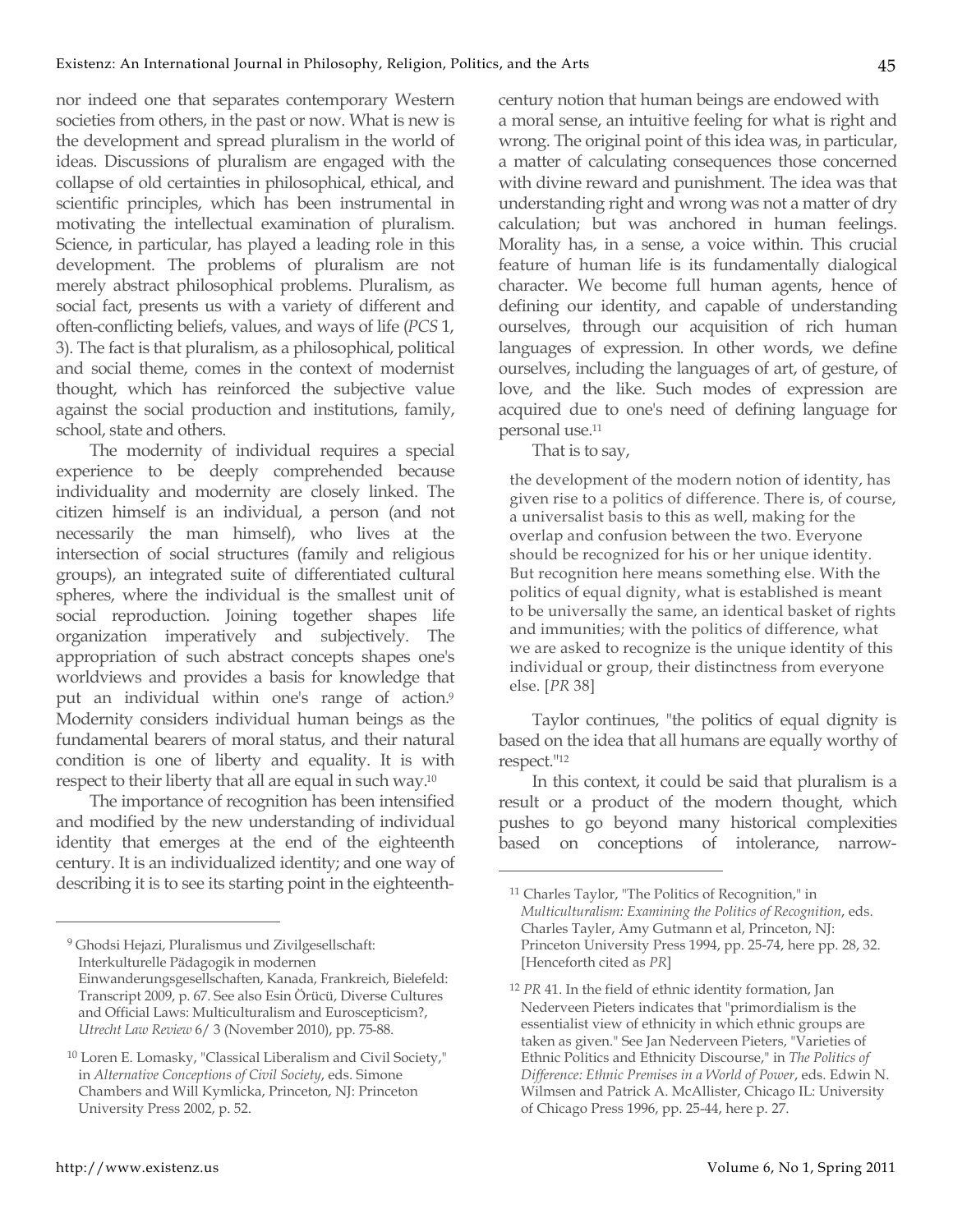nor indeed one that separates contemporary Western societies from others, in the past or now. What is new is the development and spread pluralism in the world of ideas. Discussions of pluralism are engaged with the collapse of old certainties in philosophical, ethical, and scientific principles, which has been instrumental in motivating the intellectual examination of pluralism. Science, in particular, has played a leading role in this development. The problems of pluralism are not merely abstract philosophical problems. Pluralism, as social fact, presents us with a variety of different and often-conflicting beliefs, values, and ways of life (*PCS* 1, 3). The fact is that pluralism, as a philosophical, political and social theme, comes in the context of modernist thought, which has reinforced the subjective value against the social production and institutions, family, school, state and others.

The modernity of individual requires a special experience to be deeply comprehended because individuality and modernity are closely linked. The citizen himself is an individual, a person (and not necessarily the man himself), who lives at the intersection of social structures (family and religious groups), an integrated suite of differentiated cultural spheres, where the individual is the smallest unit of social reproduction. Joining together shapes life organization imperatively and subjectively. The appropriation of such abstract concepts shapes one's worldviews and provides a basis for knowledge that put an individual within one's range of action.<sup>9</sup> Modernity considers individual human beings as the fundamental bearers of moral status, and their natural condition is one of liberty and equality. It is with respect to their liberty that all are equal in such way.10

The importance of recognition has been intensified and modified by the new understanding of individual identity that emerges at the end of the eighteenth century. It is an individualized identity; and one way of describing it is to see its starting point in the eighteenthcentury notion that human beings are endowed with a moral sense, an intuitive feeling for what is right and wrong. The original point of this idea was, in particular, a matter of calculating consequences those concerned with divine reward and punishment. The idea was that understanding right and wrong was not a matter of dry calculation; but was anchored in human feelings. Morality has, in a sense, a voice within. This crucial feature of human life is its fundamentally dialogical character. We become full human agents, hence of defining our identity, and capable of understanding ourselves, through our acquisition of rich human languages of expression. In other words, we define ourselves, including the languages of art, of gesture, of love, and the like. Such modes of expression are acquired due to one's need of defining language for personal use.11

That is to say,

 $\overline{a}$ 

the development of the modern notion of identity, has given rise to a politics of difference. There is, of course, a universalist basis to this as well, making for the overlap and confusion between the two. Everyone should be recognized for his or her unique identity. But recognition here means something else. With the politics of equal dignity, what is established is meant to be universally the same, an identical basket of rights and immunities; with the politics of difference, what we are asked to recognize is the unique identity of this individual or group, their distinctness from everyone else. [*PR* 38]

Taylor continues, "the politics of equal dignity is based on the idea that all humans are equally worthy of respect."12

In this context, it could be said that pluralism is a result or a product of the modern thought, which pushes to go beyond many historical complexities based on conceptions of intolerance, narrow-

<sup>9</sup> Ghodsi Hejazi, Pluralismus und Zivilgesellschaft: Interkulturelle Pädagogik in modernen Einwanderungsgesellschaften, Kanada, Frankreich, Bielefeld: Transcript 2009, p. 67. See also Esin Örücü, Diverse Cultures and Official Laws: Multiculturalism and Euroscepticism?, *Utrecht Law Review* 6/ 3 (November 2010), pp. 75-88.

<sup>10</sup> Loren E. Lomasky, "Classical Liberalism and Civil Society," in *Alternative Conceptions of Civil Society*, eds. Simone Chambers and Will Kymlicka, Princeton, NJ: Princeton University Press 2002, p. 52.

<sup>11</sup> Charles Taylor, "The Politics of Recognition," in *Multiculturalism: Examining the Politics of Recognition*, eds. Charles Tayler, Amy Gutmann et al, Princeton, NJ: Princeton University Press 1994, pp. 25-74, here pp. 28, 32. [Henceforth cited as *PR*]

<sup>12</sup> *PR* 41. In the field of ethnic identity formation, Jan Nederveen Pieters indicates that "primordialism is the essentialist view of ethnicity in which ethnic groups are taken as given." See Jan Nederveen Pieters, "Varieties of Ethnic Politics and Ethnicity Discourse," in *The Politics of Difference: Ethnic Premises in a World of Power*, eds. Edwin N. Wilmsen and Patrick A. McAllister, Chicago IL: University of Chicago Press 1996, pp. 25-44, here p. 27.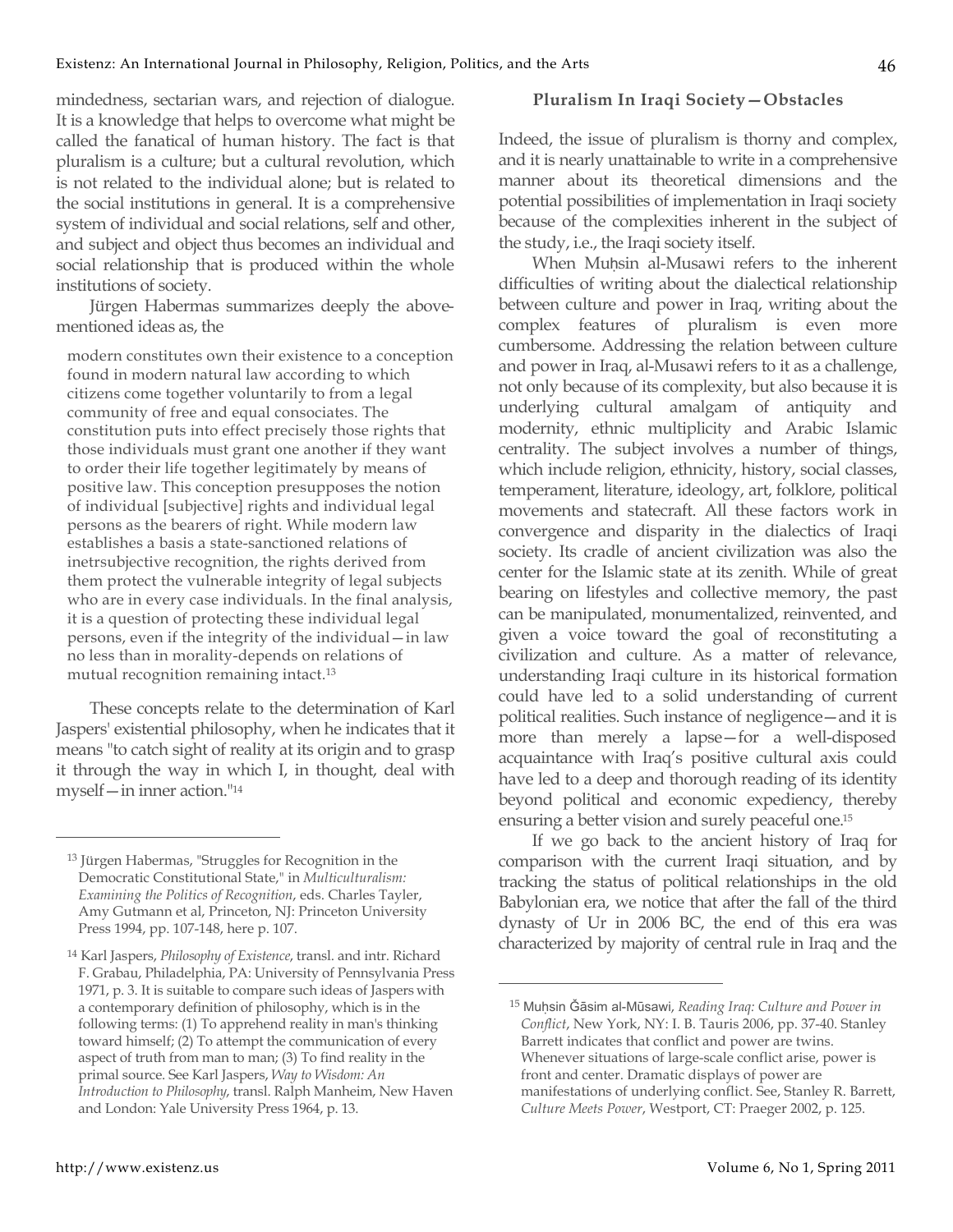mindedness, sectarian wars, and rejection of dialogue. It is a knowledge that helps to overcome what might be called the fanatical of human history. The fact is that pluralism is a culture; but a cultural revolution, which is not related to the individual alone; but is related to the social institutions in general. It is a comprehensive system of individual and social relations, self and other, and subject and object thus becomes an individual and social relationship that is produced within the whole institutions of society.

Jürgen Habermas summarizes deeply the abovementioned ideas as, the

modern constitutes own their existence to a conception found in modern natural law according to which citizens come together voluntarily to from a legal community of free and equal consociates. The constitution puts into effect precisely those rights that those individuals must grant one another if they want to order their life together legitimately by means of positive law. This conception presupposes the notion of individual [subjective] rights and individual legal persons as the bearers of right. While modern law establishes a basis a state-sanctioned relations of inetrsubjective recognition, the rights derived from them protect the vulnerable integrity of legal subjects who are in every case individuals. In the final analysis, it is a question of protecting these individual legal persons, even if the integrity of the individual—in law no less than in morality-depends on relations of mutual recognition remaining intact.13

These concepts relate to the determination of Karl Jaspers' existential philosophy, when he indicates that it means "to catch sight of reality at its origin and to grasp it through the way in which I, in thought, deal with myself—in inner action."14

#### **Pluralism In Iraqi Society—Obstacles**

Indeed, the issue of pluralism is thorny and complex, and it is nearly unattainable to write in a comprehensive manner about its theoretical dimensions and the potential possibilities of implementation in Iraqi society because of the complexities inherent in the subject of the study, i.e., the Iraqi society itself.

When Muhsin al-Musawi refers to the inherent difficulties of writing about the dialectical relationship between culture and power in Iraq, writing about the complex features of pluralism is even more cumbersome. Addressing the relation between culture and power in Iraq, al-Musawi refers to it as a challenge, not only because of its complexity, but also because it is underlying cultural amalgam of antiquity and modernity, ethnic multiplicity and Arabic Islamic centrality. The subject involves a number of things, which include religion, ethnicity, history, social classes, temperament, literature, ideology, art, folklore, political movements and statecraft. All these factors work in convergence and disparity in the dialectics of Iraqi society. Its cradle of ancient civilization was also the center for the Islamic state at its zenith. While of great bearing on lifestyles and collective memory, the past can be manipulated, monumentalized, reinvented, and given a voice toward the goal of reconstituting a civilization and culture. As a matter of relevance, understanding Iraqi culture in its historical formation could have led to a solid understanding of current political realities. Such instance of negligence—and it is more than merely a lapse—for a well-disposed acquaintance with Iraq's positive cultural axis could have led to a deep and thorough reading of its identity beyond political and economic expediency, thereby ensuring a better vision and surely peaceful one.15

If we go back to the ancient history of Iraq for comparison with the current Iraqi situation, and by tracking the status of political relationships in the old Babylonian era, we notice that after the fall of the third dynasty of Ur in 2006 BC, the end of this era was characterized by majority of central rule in Iraq and the

 $\overline{a}$ 

<sup>13</sup> Jürgen Habermas, "Struggles for Recognition in the Democratic Constitutional State," in *Multiculturalism: Examining the Politics of Recognition*, eds. Charles Tayler, Amy Gutmann et al, Princeton, NJ: Princeton University Press 1994, pp. 107-148, here p. 107.

<sup>14</sup> Karl Jaspers, *Philosophy of Existence*, transl. and intr. Richard F. Grabau, Philadelphia, PA: University of Pennsylvania Press 1971, p. 3. It is suitable to compare such ideas of Jaspers with a contemporary definition of philosophy, which is in the following terms: (1) To apprehend reality in man's thinking toward himself; (2) To attempt the communication of every aspect of truth from man to man; (3) To find reality in the primal source. See Karl Jaspers, *Way to Wisdom: An Introduction to Philosophy*, transl. Ralph Manheim, New Haven and London: Yale University Press 1964, p. 13.

<sup>&</sup>lt;sup>15</sup> Muḥsin Ğāsim al-Mūsawi, Reading Iraq: Culture and Power in *Conflict*, New York, NY: I. B. Tauris 2006, pp. 37-40. Stanley Barrett indicates that conflict and power are twins. Whenever situations of large-scale conflict arise, power is front and center. Dramatic displays of power are manifestations of underlying conflict. See, Stanley R. Barrett, *Culture Meets Power*, Westport, CT: Praeger 2002, p. 125.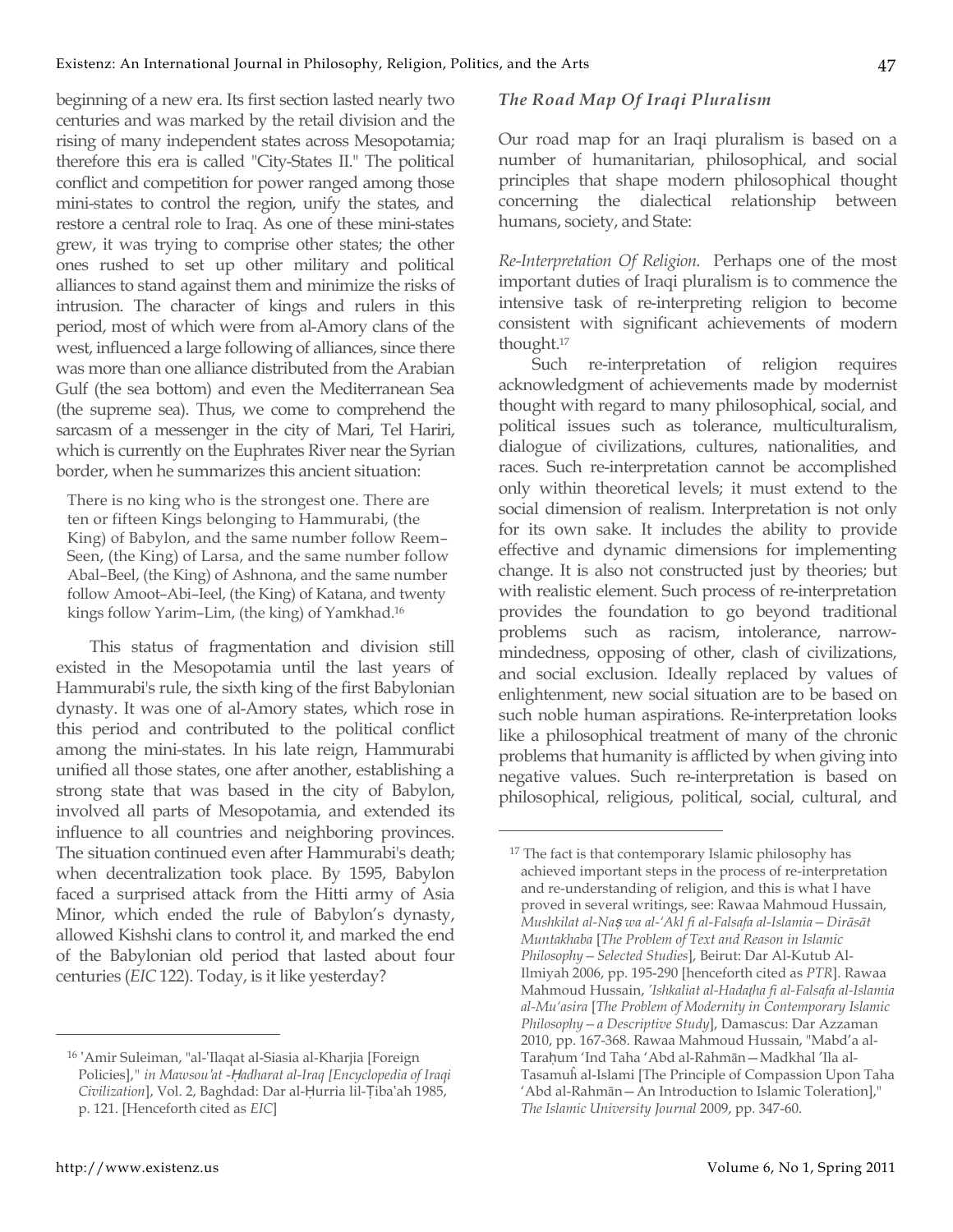beginning of a new era. Its first section lasted nearly two centuries and was marked by the retail division and the rising of many independent states across Mesopotamia; therefore this era is called "City-States II." The political conflict and competition for power ranged among those mini-states to control the region, unify the states, and restore a central role to Iraq. As one of these mini-states grew, it was trying to comprise other states; the other ones rushed to set up other military and political alliances to stand against them and minimize the risks of intrusion. The character of kings and rulers in this period, most of which were from al-Amory clans of the

west, influenced a large following of alliances, since there was more than one alliance distributed from the Arabian Gulf (the sea bottom) and even the Mediterranean Sea (the supreme sea). Thus, we come to comprehend the sarcasm of a messenger in the city of Mari, Tel Hariri, which is currently on the Euphrates River near the Syrian border, when he summarizes this ancient situation:

There is no king who is the strongest one. There are ten or fifteen Kings belonging to Hammurabi, (the King) of Babylon, and the same number follow Reem– Seen, (the King) of Larsa, and the same number follow Abal–Beel, (the King) of Ashnona, and the same number follow Amoot–Abi–Ieel, (the King) of Katana, and twenty kings follow Yarim–Lim, (the king) of Yamkhad.16

This status of fragmentation and division still existed in the Mesopotamia until the last years of Hammurabi's rule, the sixth king of the first Babylonian dynasty. It was one of al-Amory states, which rose in this period and contributed to the political conflict among the mini-states. In his late reign, Hammurabi unified all those states, one after another, establishing a strong state that was based in the city of Babylon, involved all parts of Mesopotamia, and extended its influence to all countries and neighboring provinces. The situation continued even after Hammurabi's death; when decentralization took place. By 1595, Babylon faced a surprised attack from the Hitti army of Asia Minor, which ended the rule of Babylon's dynasty, allowed Kishshi clans to control it, and marked the end of the Babylonian old period that lasted about four centuries (*EIC* 122). Today, is it like yesterday?

#### *The Road Map Of Iraqi Pluralism*

Our road map for an Iraqi pluralism is based on a number of humanitarian, philosophical, and social principles that shape modern philosophical thought concerning the dialectical relationship between humans, society, and State:

*Re-Interpretation Of Religion*. Perhaps one of the most important duties of Iraqi pluralism is to commence the intensive task of re-interpreting religion to become consistent with significant achievements of modern thought.17

Such re-interpretation of religion requires acknowledgment of achievements made by modernist thought with regard to many philosophical, social, and political issues such as tolerance, multiculturalism, dialogue of civilizations, cultures, nationalities, and races. Such re-interpretation cannot be accomplished only within theoretical levels; it must extend to the social dimension of realism. Interpretation is not only for its own sake. It includes the ability to provide effective and dynamic dimensions for implementing change. It is also not constructed just by theories; but with realistic element. Such process of re-interpretation provides the foundation to go beyond traditional problems such as racism, intolerance, narrowmindedness, opposing of other, clash of civilizations, and social exclusion. Ideally replaced by values of enlightenment, new social situation are to be based on such noble human aspirations. Re-interpretation looks like a philosophical treatment of many of the chronic problems that humanity is afflicted by when giving into negative values. Such re-interpretation is based on philosophical, religious, political, social, cultural, and

 $\overline{a}$ 

<sup>&</sup>lt;sup>16</sup> 'Amir Suleiman, "al-'Ilaqat al-Siasia al-Kharjia [Foreign Policies],*" in Mawsou*ʽ*at -*Ḥ*adharat al-Iraq [Encyclopedia of Iraqi Civilization*], Vol. 2, Baghdad: Dar al-Ḥurria lil-Ṭibaʽah 1985, p. 121. [Henceforth cited as *EIC*]

<sup>&</sup>lt;sup>17</sup> The fact is that contemporary Islamic philosophy has achieved important steps in the process of re-interpretation and re-understanding of religion, and this is what I have proved in several writings, see: Rawaa Mahmoud Hussain, *Mushkilat al-Na*ṣ *wa al-'Akl fi al-Falsafa al-Islamia—Dirāsāt Muntakhaba* [*The Problem of Text and Reason in Islamic Philosophy—Selected Studies*], Beirut: Dar Al-Kutub Al-Ilmiyah 2006, pp. 195-290 [henceforth cited as *PTR*]. Rawaa Mahmoud Hussain, *'Ishkaliat al-Hadaţha fi al-Falsafa al-Islamia al-Mu'asira* [*The Problem of Modernity in Contemporary Islamic Philosophy—a Descriptive Study*], Damascus: Dar Azzaman 2010, pp. 167-368. Rawaa Mahmoud Hussain, "Mabd'a al-Taraḥum 'Ind Taha 'Abd al-Rahmān—Madkhal 'Ila al-Tasamuĥ al-Islami [The Principle of Compassion Upon Taha 'Abd al-Rahmān—An Introduction to Islamic Toleration]," *The Islamic University Journal* 2009, pp. 347-60.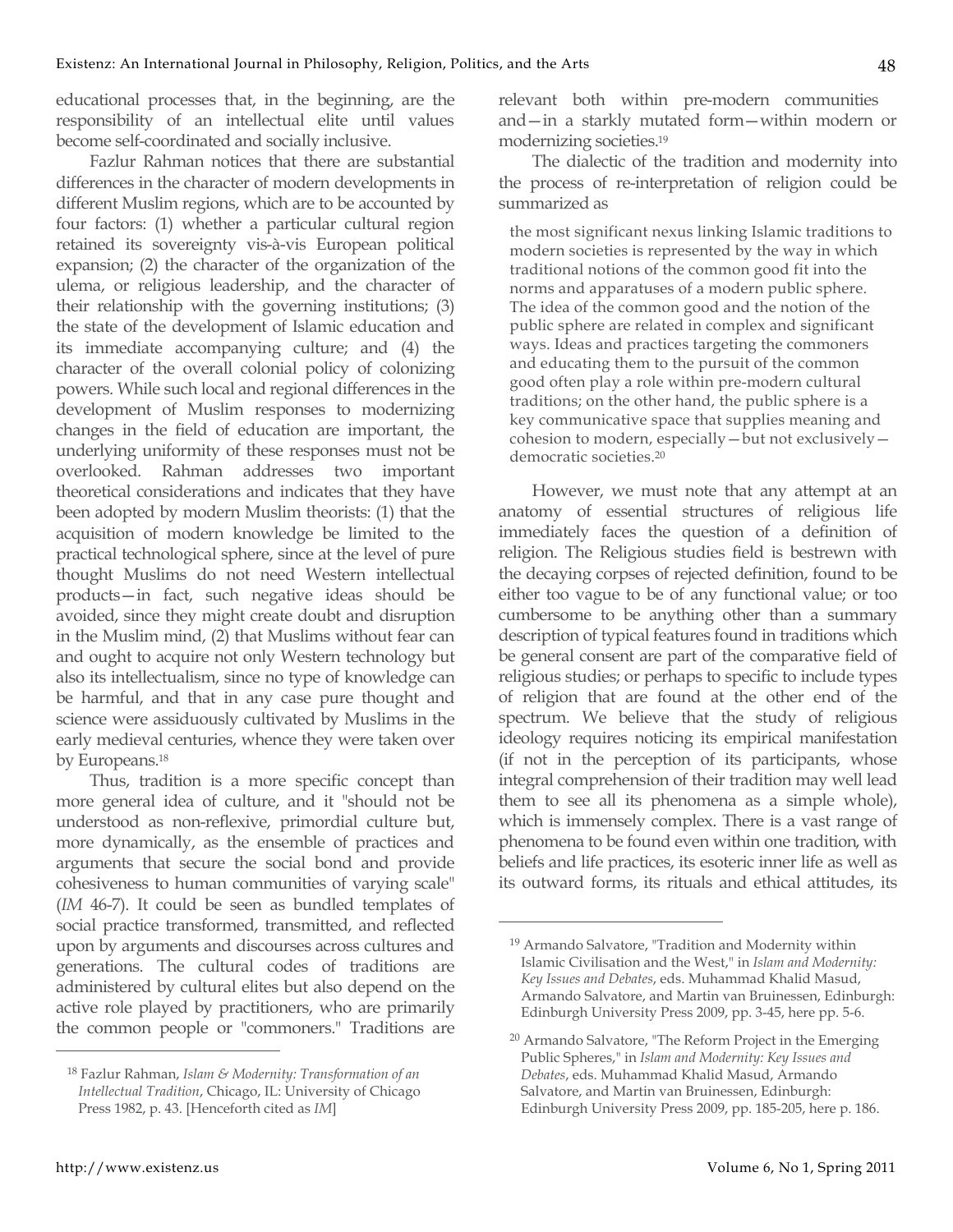educational processes that, in the beginning, are the responsibility of an intellectual elite until values become self-coordinated and socially inclusive.

Fazlur Rahman notices that there are substantial differences in the character of modern developments in different Muslim regions, which are to be accounted by four factors: (1) whether a particular cultural region retained its sovereignty vis-à-vis European political expansion; (2) the character of the organization of the ulema, or religious leadership, and the character of their relationship with the governing institutions; (3) the state of the development of Islamic education and its immediate accompanying culture; and (4) the character of the overall colonial policy of colonizing powers. While such local and regional differences in the development of Muslim responses to modernizing changes in the field of education are important, the underlying uniformity of these responses must not be overlooked. Rahman addresses two important theoretical considerations and indicates that they have been adopted by modern Muslim theorists: (1) that the acquisition of modern knowledge be limited to the practical technological sphere, since at the level of pure thought Muslims do not need Western intellectual products—in fact, such negative ideas should be avoided, since they might create doubt and disruption in the Muslim mind, (2) that Muslims without fear can and ought to acquire not only Western technology but also its intellectualism, since no type of knowledge can be harmful, and that in any case pure thought and science were assiduously cultivated by Muslims in the early medieval centuries, whence they were taken over by Europeans.18

Thus, tradition is a more specific concept than more general idea of culture, and it "should not be understood as non-reflexive, primordial culture but, more dynamically, as the ensemble of practices and arguments that secure the social bond and provide cohesiveness to human communities of varying scale" (*IM* 46-7). It could be seen as bundled templates of social practice transformed, transmitted, and reflected upon by arguments and discourses across cultures and generations. The cultural codes of traditions are administered by cultural elites but also depend on the active role played by practitioners, who are primarily the common people or "commoners." Traditions are relevant both within pre-modern communities and—in a starkly mutated form—within modern or modernizing societies.19

The dialectic of the tradition and modernity into the process of re-interpretation of religion could be summarized as

the most significant nexus linking Islamic traditions to modern societies is represented by the way in which traditional notions of the common good fit into the norms and apparatuses of a modern public sphere. The idea of the common good and the notion of the public sphere are related in complex and significant ways. Ideas and practices targeting the commoners and educating them to the pursuit of the common good often play a role within pre-modern cultural traditions; on the other hand, the public sphere is a key communicative space that supplies meaning and cohesion to modern, especially—but not exclusively democratic societies.20

However, we must note that any attempt at an anatomy of essential structures of religious life immediately faces the question of a definition of religion. The Religious studies field is bestrewn with the decaying corpses of rejected definition, found to be either too vague to be of any functional value; or too cumbersome to be anything other than a summary description of typical features found in traditions which be general consent are part of the comparative field of religious studies; or perhaps to specific to include types of religion that are found at the other end of the spectrum. We believe that the study of religious ideology requires noticing its empirical manifestation (if not in the perception of its participants, whose integral comprehension of their tradition may well lead them to see all its phenomena as a simple whole), which is immensely complex. There is a vast range of phenomena to be found even within one tradition, with beliefs and life practices, its esoteric inner life as well as its outward forms, its rituals and ethical attitudes, its

 $\overline{a}$ 

<sup>18</sup> Fazlur Rahman, *Islam & Modernity: Transformation of an Intellectual Tradition*, Chicago, IL: University of Chicago Press 1982, p. 43. [Henceforth cited as *IM*]

<sup>19</sup> Armando Salvatore, "Tradition and Modernity within Islamic Civilisation and the West," in *Islam and Modernity: Key Issues and Debates*, eds. Muhammad Khalid Masud, Armando Salvatore, and Martin van Bruinessen, Edinburgh: Edinburgh University Press 2009, pp. 3-45, here pp. 5-6.

<sup>20</sup> Armando Salvatore, "The Reform Project in the Emerging Public Spheres," in *Islam and Modernity: Key Issues and Debates*, eds. Muhammad Khalid Masud, Armando Salvatore, and Martin van Bruinessen, Edinburgh: Edinburgh University Press 2009, pp. 185-205, here p. 186.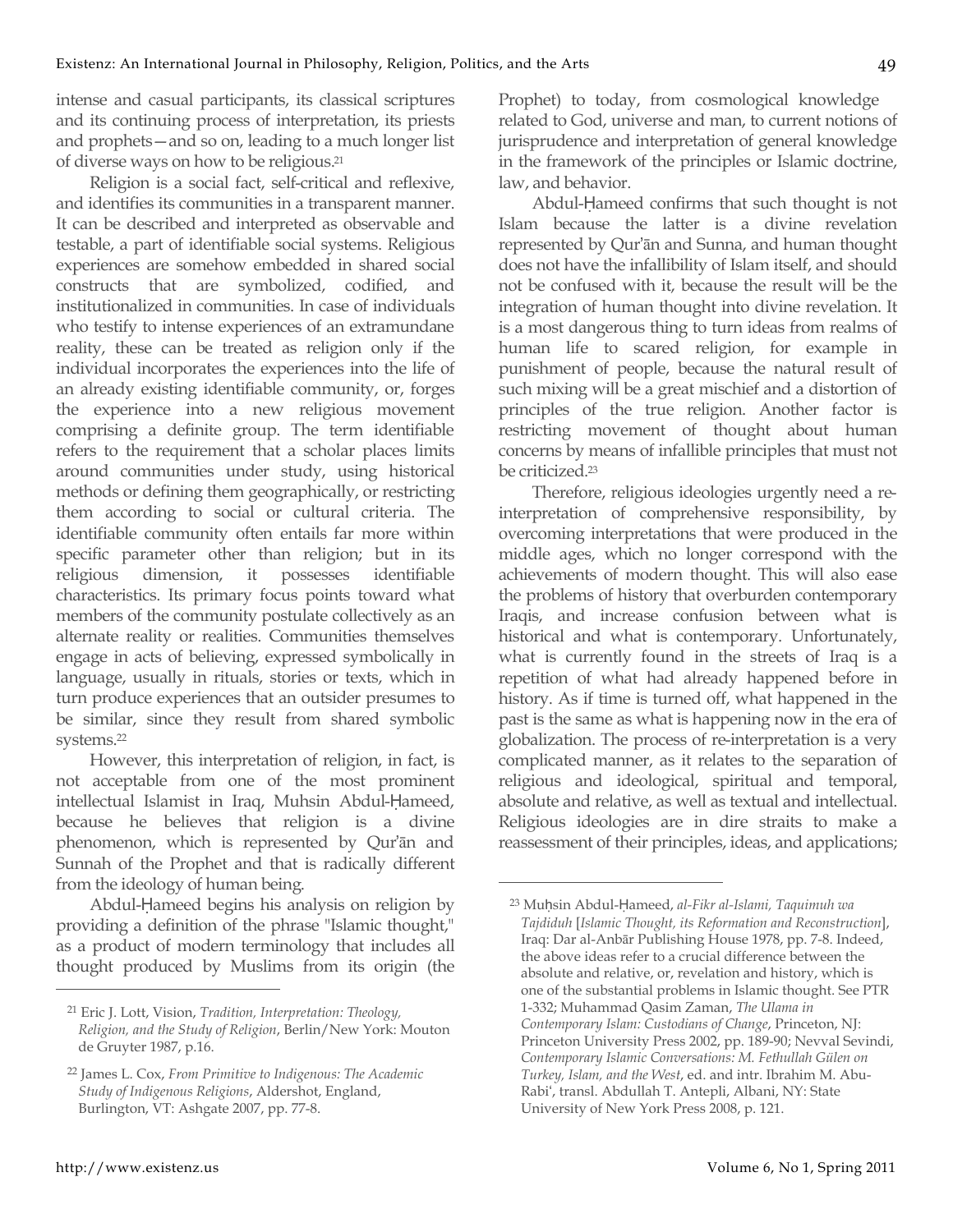intense and casual participants, its classical scriptures and its continuing process of interpretation, its priests and prophets—and so on, leading to a much longer list of diverse ways on how to be religious.21

Religion is a social fact, self-critical and reflexive, and identifies its communities in a transparent manner. It can be described and interpreted as observable and testable, a part of identifiable social systems. Religious experiences are somehow embedded in shared social constructs that are symbolized, codified, and institutionalized in communities. In case of individuals who testify to intense experiences of an extramundane reality, these can be treated as religion only if the individual incorporates the experiences into the life of an already existing identifiable community, or, forges the experience into a new religious movement comprising a definite group. The term identifiable refers to the requirement that a scholar places limits around communities under study, using historical methods or defining them geographically, or restricting them according to social or cultural criteria. The identifiable community often entails far more within specific parameter other than religion; but in its religious dimension, it possesses identifiable characteristics. Its primary focus points toward what members of the community postulate collectively as an alternate reality or realities. Communities themselves engage in acts of believing, expressed symbolically in language, usually in rituals, stories or texts, which in turn produce experiences that an outsider presumes to be similar, since they result from shared symbolic systems.22

However, this interpretation of religion, in fact, is not acceptable from one of the most prominent intellectual Islamist in Iraq, Muhsin Abdul-Ḥameed, because he believes that religion is a divine phenomenon, which is represented by Qur'ān and Sunnah of the Prophet and that is radically different from the ideology of human being.

Abdul-Ḥameed begins his analysis on religion by providing a definition of the phrase "Islamic thought," as a product of modern terminology that includes all thought produced by Muslims from its origin (the Prophet) to today, from cosmological knowledge related to God, universe and man, to current notions of jurisprudence and interpretation of general knowledge in the framework of the principles or Islamic doctrine, law, and behavior.

Abdul-Ḥameed confirms that such thought is not Islam because the latter is a divine revelation represented by Qur'ān and Sunna, and human thought does not have the infallibility of Islam itself, and should not be confused with it, because the result will be the integration of human thought into divine revelation. It is a most dangerous thing to turn ideas from realms of human life to scared religion, for example in punishment of people, because the natural result of such mixing will be a great mischief and a distortion of principles of the true religion. Another factor is restricting movement of thought about human concerns by means of infallible principles that must not be criticized.23

Therefore, religious ideologies urgently need a reinterpretation of comprehensive responsibility, by overcoming interpretations that were produced in the middle ages, which no longer correspond with the achievements of modern thought. This will also ease the problems of history that overburden contemporary Iraqis, and increase confusion between what is historical and what is contemporary. Unfortunately, what is currently found in the streets of Iraq is a repetition of what had already happened before in history. As if time is turned off, what happened in the past is the same as what is happening now in the era of globalization. The process of re-interpretation is a very complicated manner, as it relates to the separation of religious and ideological, spiritual and temporal, absolute and relative, as well as textual and intellectual. Religious ideologies are in dire straits to make a reassessment of their principles, ideas, and applications;

 $\overline{a}$ 

<sup>21</sup> Eric J. Lott, Vision, *Tradition, Interpretation: Theology, Religion, and the Study of Religion*, Berlin/New York: Mouton de Gruyter 1987, p.16.

<sup>22</sup> James L. Cox, *From Primitive to Indigenous: The Academic Study of Indigenous Religions*, Aldershot, England, Burlington, VT: Ashgate 2007, pp. 77-8.

<sup>23</sup> Muḥsin Abdul-Ḥameed, *al-Fikr al-Islami, Taquimuh wa Tajdiduh* [*Islamic Thought, its Reformation and Reconstruction*], Iraq: Dar al-Anbār Publishing House 1978, pp. 7-8. Indeed, the above ideas refer to a crucial difference between the absolute and relative, or, revelation and history, which is one of the substantial problems in Islamic thought. See PTR 1-332; Muhammad Qasim Zaman, *The Ulama in Contemporary Islam: Custodians of Change*, Princeton, NJ: Princeton University Press 2002, pp. 189-90; Nevval Sevindi, *Contemporary Islamic Conversations: M. Fethullah Gülen on Turkey, Islam, and the West*, ed. and intr. Ibrahim M. Abu-Rabiʻ, transl. Abdullah T. Antepli, Albani, NY: State University of New York Press 2008, p. 121.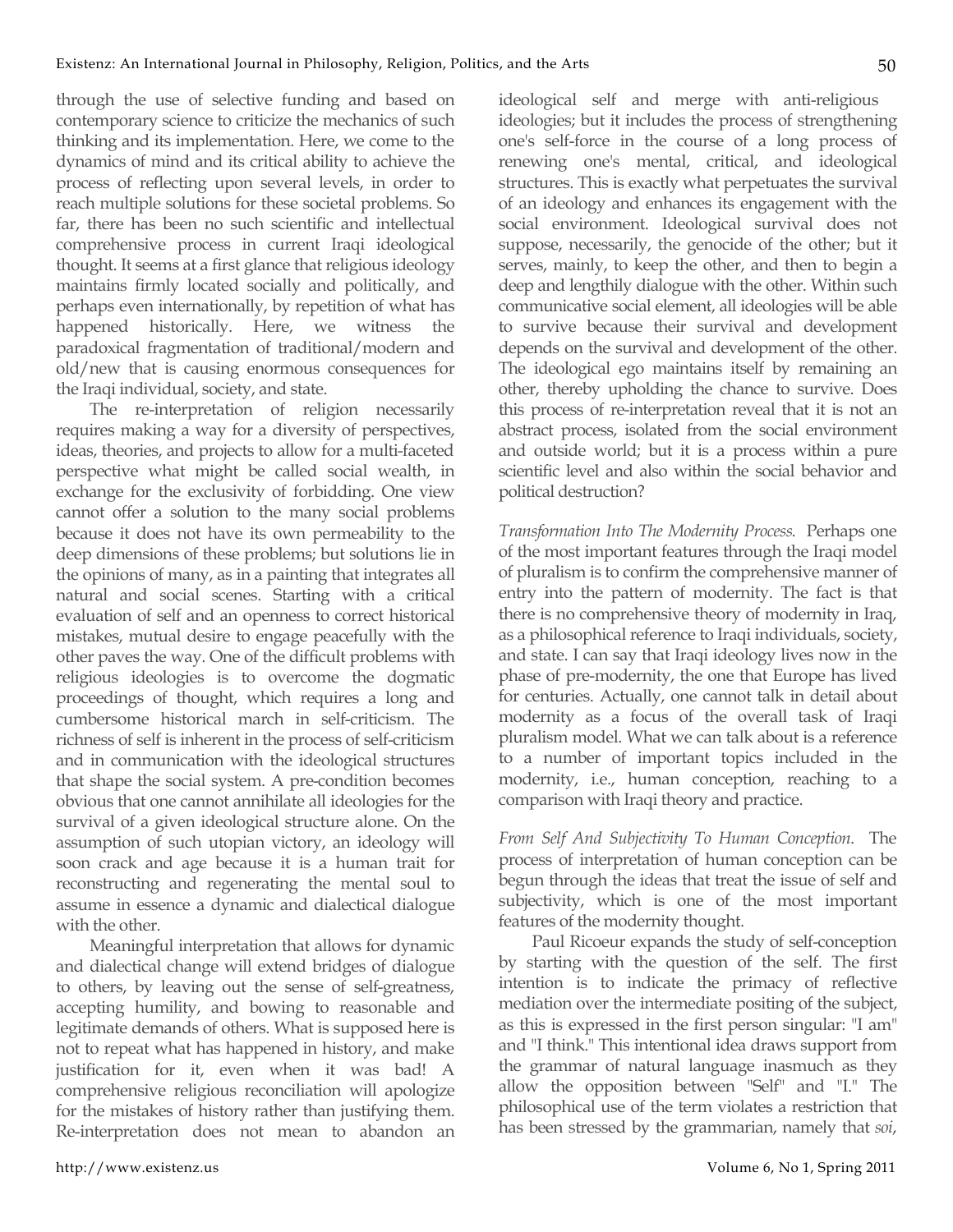through the use of selective funding and based on contemporary science to criticize the mechanics of such thinking and its implementation. Here, we come to the dynamics of mind and its critical ability to achieve the process of reflecting upon several levels, in order to reach multiple solutions for these societal problems. So far, there has been no such scientific and intellectual comprehensive process in current Iraqi ideological thought. It seems at a first glance that religious ideology maintains firmly located socially and politically, and perhaps even internationally, by repetition of what has happened historically. Here, we witness the paradoxical fragmentation of traditional/modern and old/new that is causing enormous consequences for the Iraqi individual, society, and state.

The re-interpretation of religion necessarily requires making a way for a diversity of perspectives, ideas, theories, and projects to allow for a multi-faceted perspective what might be called social wealth, in exchange for the exclusivity of forbidding. One view cannot offer a solution to the many social problems because it does not have its own permeability to the deep dimensions of these problems; but solutions lie in the opinions of many, as in a painting that integrates all natural and social scenes. Starting with a critical evaluation of self and an openness to correct historical mistakes, mutual desire to engage peacefully with the other paves the way. One of the difficult problems with religious ideologies is to overcome the dogmatic proceedings of thought, which requires a long and cumbersome historical march in self-criticism. The richness of self is inherent in the process of self-criticism and in communication with the ideological structures that shape the social system. A pre-condition becomes obvious that one cannot annihilate all ideologies for the survival of a given ideological structure alone. On the assumption of such utopian victory, an ideology will soon crack and age because it is a human trait for reconstructing and regenerating the mental soul to assume in essence a dynamic and dialectical dialogue with the other.

Meaningful interpretation that allows for dynamic and dialectical change will extend bridges of dialogue to others, by leaving out the sense of self-greatness, accepting humility, and bowing to reasonable and legitimate demands of others. What is supposed here is not to repeat what has happened in history, and make justification for it, even when it was bad! A comprehensive religious reconciliation will apologize for the mistakes of history rather than justifying them. Re-interpretation does not mean to abandon an ideological self and merge with anti-religious ideologies; but it includes the process of strengthening one's self-force in the course of a long process of renewing one's mental, critical, and ideological structures. This is exactly what perpetuates the survival of an ideology and enhances its engagement with the social environment. Ideological survival does not suppose, necessarily, the genocide of the other; but it serves, mainly, to keep the other, and then to begin a deep and lengthily dialogue with the other. Within such communicative social element, all ideologies will be able to survive because their survival and development depends on the survival and development of the other. The ideological ego maintains itself by remaining an other, thereby upholding the chance to survive. Does this process of re-interpretation reveal that it is not an abstract process, isolated from the social environment and outside world; but it is a process within a pure scientific level and also within the social behavior and political destruction?

*Transformation Into The Modernity Process*. Perhaps one of the most important features through the Iraqi model of pluralism is to confirm the comprehensive manner of entry into the pattern of modernity. The fact is that there is no comprehensive theory of modernity in Iraq, as a philosophical reference to Iraqi individuals, society, and state. I can say that Iraqi ideology lives now in the phase of pre-modernity, the one that Europe has lived for centuries. Actually, one cannot talk in detail about modernity as a focus of the overall task of Iraqi pluralism model. What we can talk about is a reference to a number of important topics included in the modernity, i.e., human conception, reaching to a comparison with Iraqi theory and practice.

*From Self And Subjectivity To Human Conception*. The process of interpretation of human conception can be begun through the ideas that treat the issue of self and subjectivity, which is one of the most important features of the modernity thought.

Paul Ricoeur expands the study of self-conception by starting with the question of the self. The first intention is to indicate the primacy of reflective mediation over the intermediate positing of the subject, as this is expressed in the first person singular: "I am" and "I think." This intentional idea draws support from the grammar of natural language inasmuch as they allow the opposition between "Self" and "I." The philosophical use of the term violates a restriction that has been stressed by the grammarian, namely that *soi*,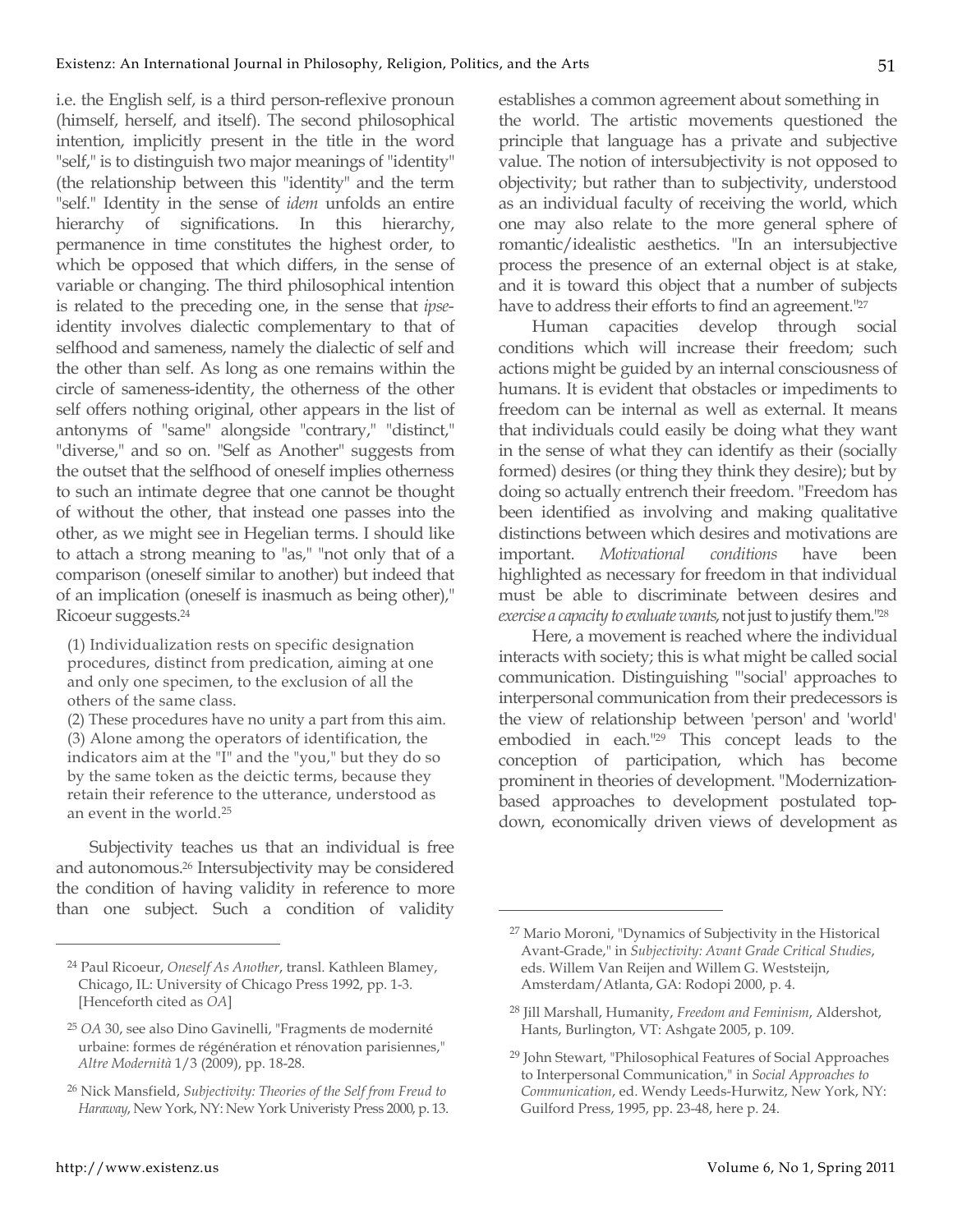i.e. the English self, is a third person-reflexive pronoun (himself, herself, and itself). The second philosophical intention, implicitly present in the title in the word "self," is to distinguish two major meanings of "identity" (the relationship between this "identity" and the term "self." Identity in the sense of *idem* unfolds an entire hierarchy of significations. In this hierarchy, permanence in time constitutes the highest order, to which be opposed that which differs, in the sense of variable or changing. The third philosophical intention is related to the preceding one, in the sense that *ipse*identity involves dialectic complementary to that of selfhood and sameness, namely the dialectic of self and the other than self. As long as one remains within the circle of sameness-identity, the otherness of the other self offers nothing original, other appears in the list of antonyms of "same" alongside "contrary," "distinct," "diverse," and so on. "Self as Another" suggests from the outset that the selfhood of oneself implies otherness to such an intimate degree that one cannot be thought of without the other, that instead one passes into the other, as we might see in Hegelian terms. I should like to attach a strong meaning to "as," "not only that of a comparison (oneself similar to another) but indeed that of an implication (oneself is inasmuch as being other)," Ricoeur suggests.24

(1) Individualization rests on specific designation procedures, distinct from predication, aiming at one and only one specimen, to the exclusion of all the others of the same class.

(2) These procedures have no unity a part from this aim. (3) Alone among the operators of identification, the indicators aim at the "I" and the "you," but they do so by the same token as the deictic terms, because they retain their reference to the utterance, understood as an event in the world.25

Subjectivity teaches us that an individual is free and autonomous.26 Intersubjectivity may be considered the condition of having validity in reference to more than one subject. Such a condition of validity

 $\overline{a}$ 

establishes a common agreement about something in the world. The artistic movements questioned the principle that language has a private and subjective value. The notion of intersubjectivity is not opposed to objectivity; but rather than to subjectivity, understood as an individual faculty of receiving the world, which one may also relate to the more general sphere of romantic/idealistic aesthetics. "In an intersubjective process the presence of an external object is at stake, and it is toward this object that a number of subjects have to address their efforts to find an agreement."<sup>27</sup>

Human capacities develop through social conditions which will increase their freedom; such actions might be guided by an internal consciousness of humans. It is evident that obstacles or impediments to freedom can be internal as well as external. It means that individuals could easily be doing what they want in the sense of what they can identify as their (socially formed) desires (or thing they think they desire); but by doing so actually entrench their freedom. "Freedom has been identified as involving and making qualitative distinctions between which desires and motivations are important. *Motivational conditions* have been highlighted as necessary for freedom in that individual must be able to discriminate between desires and *exercise a capacity to evaluate wants*, not just to justify them."28

Here, a movement is reached where the individual interacts with society; this is what might be called social communication. Distinguishing "'social' approaches to interpersonal communication from their predecessors is the view of relationship between 'person' and 'world' embodied in each."29 This concept leads to the conception of participation, which has become prominent in theories of development. "Modernizationbased approaches to development postulated topdown, economically driven views of development as

<sup>24</sup> Paul Ricoeur, *Oneself As Another*, transl. Kathleen Blamey, Chicago, IL: University of Chicago Press 1992, pp. 1-3. [Henceforth cited as *OA*]

<sup>25</sup> *OA* 30, see also Dino Gavinelli, "Fragments de modernité urbaine: formes de régénération et rénovation parisiennes," *Altre Modernità* 1/3 (2009), pp. 18-28.

<sup>26</sup> Nick Mansfield, *Subjectivity: Theories of the Self from Freud to Haraway*, New York, NY: New York Univeristy Press 2000, p. 13.

<sup>27</sup> Mario Moroni, "Dynamics of Subjectivity in the Historical Avant-Grade," in *Subjectivity: Avant Grade Critical Studies*, eds. Willem Van Reijen and Willem G. Weststeijn, Amsterdam/Atlanta, GA: Rodopi 2000, p. 4.

<sup>28</sup> Jill Marshall, Humanity, *Freedom and Feminism*, Aldershot, Hants, Burlington, VT: Ashgate 2005, p. 109.

<sup>29</sup> John Stewart, "Philosophical Features of Social Approaches to Interpersonal Communication," in *Social Approaches to Communication*, ed. Wendy Leeds-Hurwitz, New York, NY: Guilford Press, 1995, pp. 23-48, here p. 24.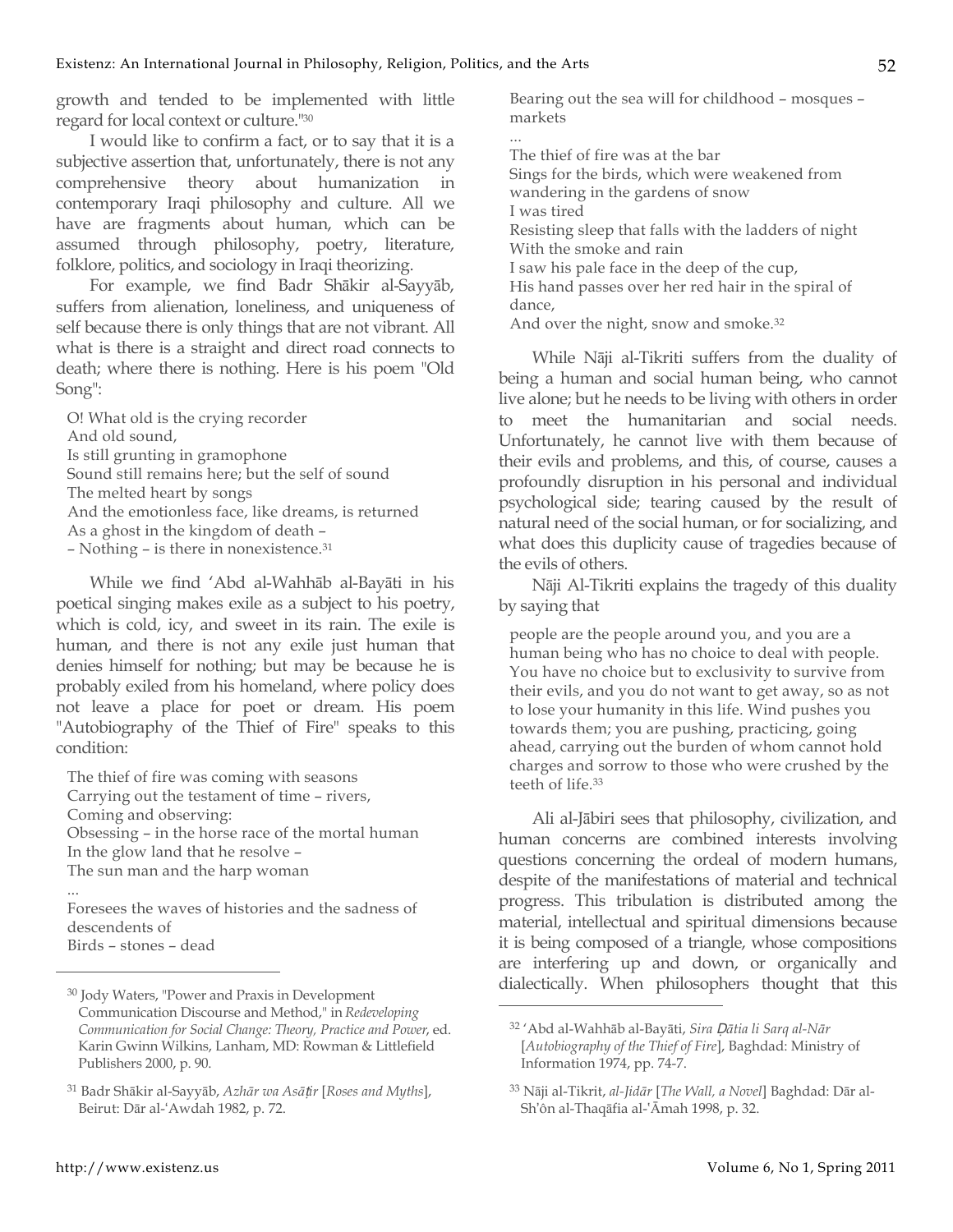growth and tended to be implemented with little regard for local context or culture."30

I would like to confirm a fact, or to say that it is a subjective assertion that, unfortunately, there is not any comprehensive theory about humanization in contemporary Iraqi philosophy and culture. All we have are fragments about human, which can be assumed through philosophy, poetry, literature, folklore, politics, and sociology in Iraqi theorizing.

For example, we find Badr Shākir al-Sayyāb, suffers from alienation, loneliness, and uniqueness of self because there is only things that are not vibrant. All what is there is a straight and direct road connects to death; where there is nothing. Here is his poem "Old Song":

O! What old is the crying recorder And old sound, Is still grunting in gramophone Sound still remains here; but the self of sound The melted heart by songs And the emotionless face, like dreams, is returned As a ghost in the kingdom of death – – Nothing – is there in nonexistence.31

While we find 'Abd al-Wahhāb al-Bayāti in his poetical singing makes exile as a subject to his poetry, which is cold, icy, and sweet in its rain. The exile is human, and there is not any exile just human that denies himself for nothing; but may be because he is probably exiled from his homeland, where policy does not leave a place for poet or dream. His poem "Autobiography of the Thief of Fire" speaks to this condition:

The thief of fire was coming with seasons Carrying out the testament of time – rivers, Coming and observing: Obsessing – in the horse race of the mortal human In the glow land that he resolve – The sun man and the harp woman ...

Foresees the waves of histories and the sadness of descendents of Birds – stones – dead

Bearing out the sea will for childhood – mosques – markets

The thief of fire was at the bar Sings for the birds, which were weakened from wandering in the gardens of snow I was tired Resisting sleep that falls with the ladders of night With the smoke and rain I saw his pale face in the deep of the cup, His hand passes over her red hair in the spiral of dance, And over the night, snow and smoke.32

While Nāji al-Tikriti suffers from the duality of being a human and social human being, who cannot live alone; but he needs to be living with others in order to meet the humanitarian and social needs. Unfortunately, he cannot live with them because of their evils and problems, and this, of course, causes a profoundly disruption in his personal and individual psychological side; tearing caused by the result of natural need of the social human, or for socializing, and what does this duplicity cause of tragedies because of the evils of others.

Nāji Al-Tikriti explains the tragedy of this duality by saying that

people are the people around you, and you are a human being who has no choice to deal with people. You have no choice but to exclusivity to survive from their evils, and you do not want to get away, so as not to lose your humanity in this life. Wind pushes you towards them; you are pushing, practicing, going ahead, carrying out the burden of whom cannot hold charges and sorrow to those who were crushed by the teeth of life.33

Ali al-Jābiri sees that philosophy, civilization, and human concerns are combined interests involving questions concerning the ordeal of modern humans, despite of the manifestations of material and technical progress. This tribulation is distributed among the material, intellectual and spiritual dimensions because it is being composed of a triangle, whose compositions are interfering up and down, or organically and dialectically. When philosophers thought that this

 $\overline{a}$ 

<sup>30</sup> Jody Waters, "Power and Praxis in Development Communication Discourse and Method," in *Redeveloping Communication for Social Change: Theory, Practice and Power*, ed. Karin Gwinn Wilkins, Lanham, MD: Rowman & Littlefield Publishers 2000, p. 90.

<sup>31</sup> Badr Shākir al-Sayyāb, *Azhār wa Asā*ṭ*ir* [*Roses and Myths*], Beirut: Dār al-ʻAwdah 1982, p. 72.

<sup>32 &#</sup>x27;Abd al-Wahhāb al-Bayāti, *Sira* Ḍ*ātia li Sarq al-Nār* [*Autobiography of the Thief of Fire*], Baghdad: Ministry of Information 1974, pp. 74-7.

<sup>33</sup> Nāji al-Tikrit, *al-Jidār* [*The Wall, a Novel*] Baghdad: Dār al-Sh'ôn al-Thaqāfia al-ʽĀmah 1998, p. 32.